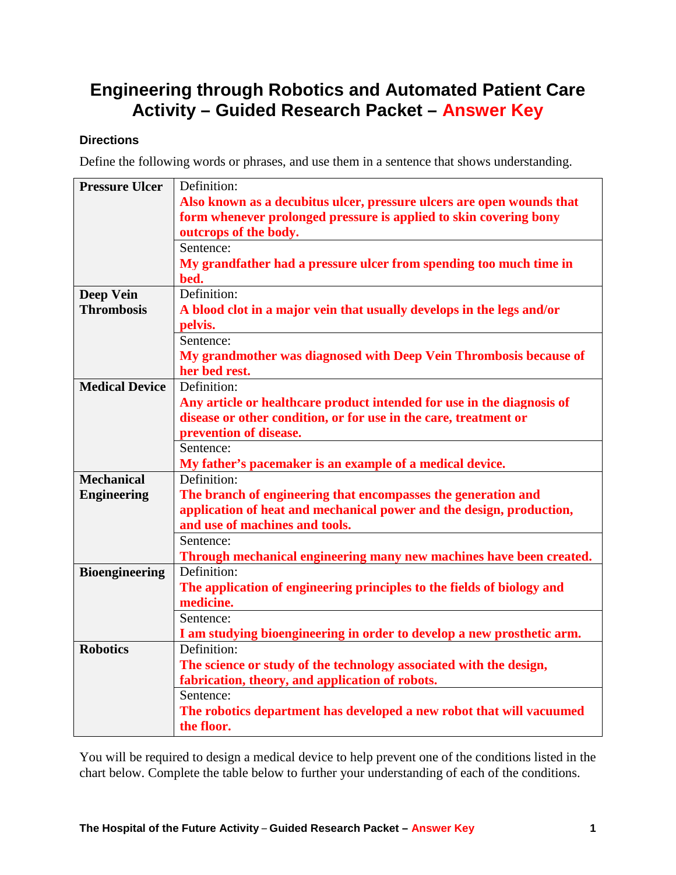## **Engineering through Robotics and Automated Patient Care Activity – Guided Research Packet – Answer Key**

## **Directions**

Define the following words or phrases, and use them in a sentence that shows understanding.

| <b>Pressure Ulcer</b> | Definition:                                                                           |
|-----------------------|---------------------------------------------------------------------------------------|
|                       | Also known as a decubitus ulcer, pressure ulcers are open wounds that                 |
|                       | form whenever prolonged pressure is applied to skin covering bony                     |
|                       | outcrops of the body.                                                                 |
|                       | Sentence:                                                                             |
|                       | My grandfather had a pressure ulcer from spending too much time in                    |
|                       | bed.                                                                                  |
| <b>Deep Vein</b>      | Definition:                                                                           |
| <b>Thrombosis</b>     | A blood clot in a major vein that usually develops in the legs and/or                 |
|                       | pelvis.                                                                               |
|                       | Sentence:                                                                             |
|                       | My grandmother was diagnosed with Deep Vein Thrombosis because of                     |
|                       | her bed rest.                                                                         |
| <b>Medical Device</b> | Definition:                                                                           |
|                       | Any article or healthcare product intended for use in the diagnosis of                |
|                       | disease or other condition, or for use in the care, treatment or                      |
|                       | prevention of disease.                                                                |
|                       | Sentence:                                                                             |
|                       | My father's pacemaker is an example of a medical device.                              |
| <b>Mechanical</b>     | Definition:                                                                           |
| <b>Engineering</b>    | The branch of engineering that encompasses the generation and                         |
|                       | application of heat and mechanical power and the design, production,                  |
|                       | and use of machines and tools.                                                        |
|                       | Sentence:                                                                             |
|                       | Through mechanical engineering many new machines have been created.                   |
| <b>Bioengineering</b> | Definition:                                                                           |
|                       | The application of engineering principles to the fields of biology and                |
|                       | medicine.                                                                             |
|                       | Sentence:                                                                             |
| <b>Robotics</b>       | I am studying bioengineering in order to develop a new prosthetic arm.<br>Definition: |
|                       |                                                                                       |
|                       | The science or study of the technology associated with the design,                    |
|                       | fabrication, theory, and application of robots.<br>Sentence:                          |
|                       |                                                                                       |
|                       | The robotics department has developed a new robot that will vacuumed                  |
|                       | the floor.                                                                            |

You will be required to design a medical device to help prevent one of the conditions listed in the chart below. Complete the table below to further your understanding of each of the conditions.